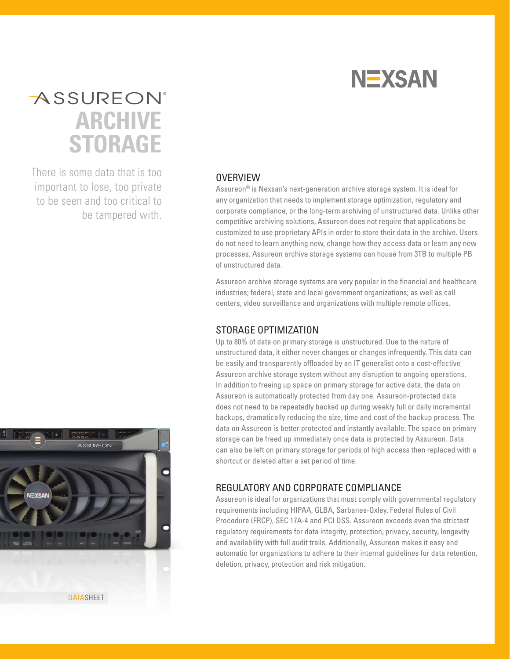

## **ASSUREON**<sup>®</sup> **ARCHIVE STORAGE**

There is some data that is too important to lose, too private to be seen and too critical to be tampered with.



Assureon® is Nexsan's next-generation archive storage system. It is ideal for any organization that needs to implement storage optimization, regulatory and corporate compliance, or the long-term archiving of unstructured data. Unlike other competitive archiving solutions, Assureon does not require that applications be customized to use proprietary APIs in order to store their data in the archive. Users do not need to learn anything new, change how they access data or learn any new processes. Assureon archive storage systems can house from 3TB to multiple PB of unstructured data.

Assureon archive storage systems are very popular in the financial and healthcare industries; federal, state and local government organizations; as well as call centers, video surveillance and organizations with multiple remote offices.

## STORAGE OPTIMIZATION

Up to 80% of data on primary storage is unstructured. Due to the nature of unstructured data, it either never changes or changes infrequently. This data can be easily and transparently offloaded by an IT generalist onto a cost-effective Assureon archive storage system without any disruption to ongoing operations. In addition to freeing up space on primary storage for active data, the data on Assureon is automatically protected from day one. Assureon-protected data does not need to be repeatedly backed up during weekly full or daily incremental backups, dramatically reducing the size, time and cost of the backup process. The data on Assureon is better protected and instantly available. The space on primary storage can be freed up immediately once data is protected by Assureon. Data can also be left on primary storage for periods of high access then replaced with a shortcut or deleted after a set period of time.

## REGULATORY AND CORPORATE COMPLIANCE

Assureon is ideal for organizations that must comply with governmental regulatory requirements including HIPAA, GLBA, Sarbanes-Oxley, Federal Rules of Civil Procedure (FRCP), SEC 17A-4 and PCI DSS. Assureon exceeds even the strictest regulatory requirements for data integrity, protection, privacy, security, longevity and availability with full audit trails. Additionally, Assureon makes it easy and automatic for organizations to adhere to their internal guidelines for data retention, deletion, privacy, protection and risk mitigation.

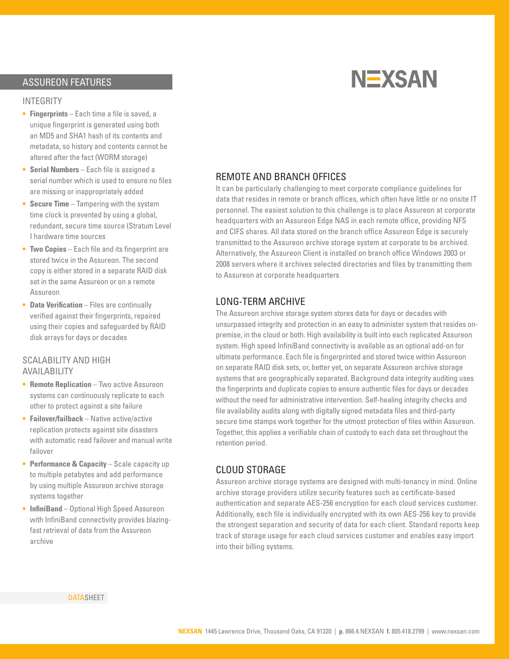## ASSUREON FEATURES

#### INTEGRITY

- **• Fingerprints** Each time a file is saved, a unique fingerprint is generated using both an MD5 and SHA1 hash of its contents and metadata, so history and contents cannot be altered after the fact (WORM storage)
- **• Serial Numbers** Each file is assigned a serial number which is used to ensure no files are missing or inappropriately added
- **Secure Time** Tampering with the system time clock is prevented by using a global, redundant, secure time source (Stratum Level I hardware time sources
- **Two Copies** Each file and its fingerprint are stored twice in the Assureon. The second copy is either stored in a separate RAID disk set in the same Assureon or on a remote Assureon
- **• Data Verification** Files are continually verified against their fingerprints, repaired using their copies and safeguarded by RAID disk arrays for days or decades

#### SCALABILITY AND HIGH AVAILABILITY

- **• Remote Replication** Two active Assureon systems can continuously replicate to each other to protect against a site failure
- **• Failover/failback** Native active/active replication protects against site disasters with automatic read failover and manual write failover
- **Performance & Capacity** Scale capacity up to multiple petabytes and add performance by using multiple Assureon archive storage systems together
- **• InfiniBand** Optional High Speed Assureon with InfiniBand connectivity provides blazingfast retrieval of data from the Assureon archive

## **NEXSAN**

#### REMOTE AND BRANCH OFFICES

It can be particularly challenging to meet corporate compliance guidelines for data that resides in remote or branch offices, which often have little or no onsite IT personnel. The easiest solution to this challenge is to place Assureon at corporate headquarters with an Assureon Edge NAS in each remote office, providing NFS and CIFS shares. All data stored on the branch office Assureon Edge is securely transmitted to the Assureon archive storage system at corporate to be archived. Alternatively, the Assureon Client is installed on branch office Windows 2003 or 2008 servers where it archives selected directories and files by transmitting them to Assureon at corporate headquarters

## LONG-TERM ARCHIVE

The Assureon archive storage system stores data for days or decades with unsurpassed integrity and protection in an easy to administer system that resides onpremise, in the cloud or both. High availability is built into each replicated Assureon system. High speed InfiniBand connectivity is available as an optional add-on for ultimate performance. Each file is fingerprinted and stored twice within Assureon on separate RAID disk sets, or, better yet, on separate Assureon archive storage systems that are geographically separated. Background data integrity auditing uses the fingerprints and duplicate copies to ensure authentic files for days or decades without the need for administrative intervention. Self-healing integrity checks and file availability audits along with digitally signed metadata files and third-party secure time stamps work together for the utmost protection of files within Assureon. Together, this applies a verifiable chain of custody to each data set throughout the retention period.

#### CLOUD STORAGE

Assureon archive storage systems are designed with multi-tenancy in mind. Online archive storage providers utilize security features such as certificate-based authentication and separate AES-256 encryption for each cloud services customer. Additionally, each file is individually encrypted with its own AES-256 key to provide the strongest separation and security of data for each client. Standard reports keep track of storage usage for each cloud services customer and enables easy import into their billing systems.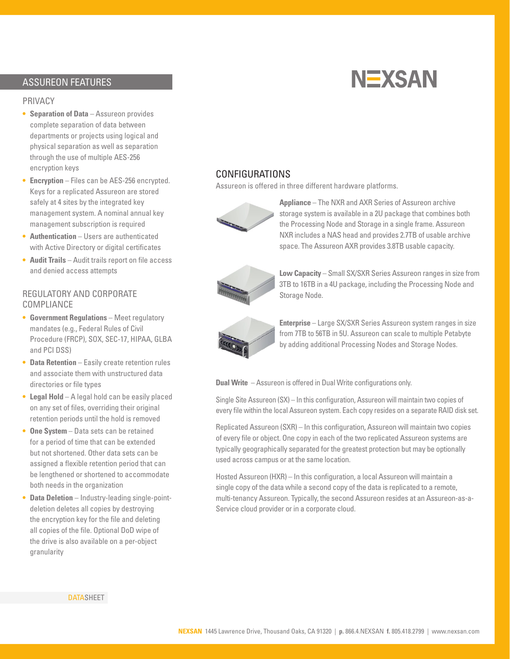## ASSUREON FEATURES

#### PRIVACY

- **• Separation of Data** Assureon provides complete separation of data between departments or projects using logical and physical separation as well as separation through the use of multiple AES-256 encryption keys
- **• Encryption** Files can be AES-256 encrypted. Keys for a replicated Assureon are stored safely at 4 sites by the integrated key management system. A nominal annual key management subscription is required
- **• Authentication** Users are authenticated with Active Directory or digital certificates
- **• Audit Trails** Audit trails report on file access and denied access attempts

### REGULATORY AND CORPORATE COMPLIANCE

- **• Government Regulations** Meet regulatory mandates (e.g., Federal Rules of Civil Procedure (FRCP), SOX, SEC-17, HIPAA, GLBA and PCI DSS)
- **Data Retention** Easily create retention rules and associate them with unstructured data directories or file types
- **• Legal Hold** A legal hold can be easily placed on any set of files, overriding their original retention periods until the hold is removed
- **• One System** Data sets can be retained for a period of time that can be extended but not shortened. Other data sets can be assigned a flexible retention period that can be lengthened or shortened to accommodate both needs in the organization
- **• Data Deletion** Industry-leading single-pointdeletion deletes all copies by destroying the encryption key for the file and deleting all copies of the file. Optional DoD wipe of the drive is also available on a per-object granularity

# **NEXSAN**

## CONFIGURATIONS

Assureon is offered in three different hardware platforms.



**Appliance** – The NXR and AXR Series of Assureon archive storage system is available in a 2U package that combines both the Processing Node and Storage in a single frame. Assureon NXR includes a NAS head and provides 2.7TB of usable archive space. The Assureon AXR provides 3.8TB usable capacity.



**Low Capacity** – Small SX/SXR Series Assureon ranges in size from 3TB to 16TB in a 4U package, including the Processing Node and Storage Node.



**Enterprise** – Large SX/SXR Series Assureon system ranges in size from 7TB to 56TB in 5U. Assureon can scale to multiple Petabyte by adding additional Processing Nodes and Storage Nodes.

**Dual Write** – Assureon is offered in Dual Write configurations only.

Single Site Assureon (SX) – In this configuration, Assureon will maintain two copies of every file within the local Assureon system. Each copy resides on a separate RAID disk set.

Replicated Assureon (SXR) – In this configuration, Assureon will maintain two copies of every file or object. One copy in each of the two replicated Assureon systems are typically geographically separated for the greatest protection but may be optionally used across campus or at the same location.

Hosted Assureon (HXR) – In this configuration, a local Assureon will maintain a single copy of the data while a second copy of the data is replicated to a remote, multi-tenancy Assureon. Typically, the second Assureon resides at an Assureon-as-a-Service cloud provider or in a corporate cloud.

**DATASHEET**